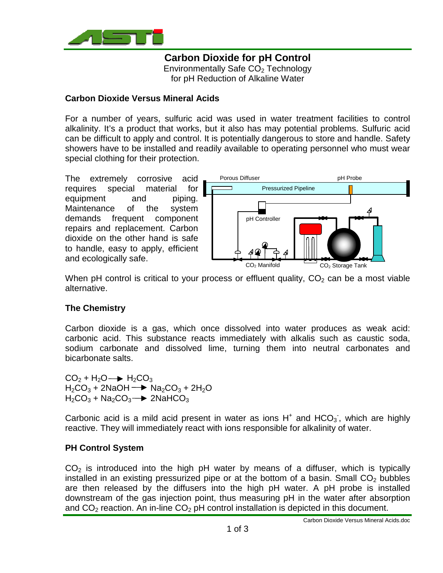

# **Carbon Dioxide for pH Control**

Environmentally Safe  $CO<sub>2</sub>$  Technology for pH Reduction of Alkaline Water

#### **Carbon Dioxide Versus Mineral Acids**

For a number of years, sulfuric acid was used in water treatment facilities to control alkalinity. It's a product that works, but it also has may potential problems. Sulfuric acid can be difficult to apply and control. It is potentially dangerous to store and handle. Safety showers have to be installed and readily available to operating personnel who must wear special clothing for their protection.

The extremely corrosive acid requires special material for equipment and piping. Maintenance of the system demands frequent component repairs and replacement. Carbon dioxide on the other hand is safe to handle, easy to apply, efficient and ecologically safe.



When pH control is critical to your process or effluent quality,  $CO<sub>2</sub>$  can be a most viable alternative.

# **The Chemistry**

Carbon dioxide is a gas, which once dissolved into water produces as weak acid: carbonic acid. This substance reacts immediately with alkalis such as caustic soda, sodium carbonate and dissolved lime, turning them into neutral carbonates and bicarbonate salts.

 $CO<sub>2</sub> + H<sub>2</sub>O \rightarrow H<sub>2</sub>CO<sub>3</sub>$  $H_2CO_3 + 2NaOH \longrightarrow Na_2CO_3 + 2H_2O$  $H_2CO_3 + Na_2CO_3 \rightarrow 2NaHCO_3$ 

Carbonic acid is a mild acid present in water as ions  $H^+$  and  $HCO_3$ , which are highly reactive. They will immediately react with ions responsible for alkalinity of water.

#### **PH Control System**

 $CO<sub>2</sub>$  is introduced into the high pH water by means of a diffuser, which is typically installed in an existing pressurized pipe or at the bottom of a basin. Small  $CO<sub>2</sub>$  bubbles are then released by the diffusers into the high pH water. A pH probe is installed downstream of the gas injection point, thus measuring pH in the water after absorption and  $CO<sub>2</sub>$  reaction. An in-line  $CO<sub>2</sub>$  pH control installation is depicted in this document.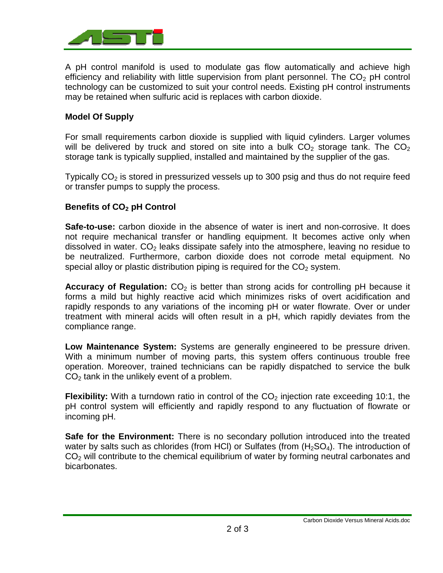

A pH control manifold is used to modulate gas flow automatically and achieve high efficiency and reliability with little supervision from plant personnel. The  $CO<sub>2</sub>$  pH control technology can be customized to suit your control needs. Existing pH control instruments may be retained when sulfuric acid is replaces with carbon dioxide.

### **Model Of Supply**

For small requirements carbon dioxide is supplied with liquid cylinders. Larger volumes will be delivered by truck and stored on site into a bulk  $CO<sub>2</sub>$  storage tank. The  $CO<sub>2</sub>$ storage tank is typically supplied, installed and maintained by the supplier of the gas.

Typically  $CO<sub>2</sub>$  is stored in pressurized vessels up to 300 psig and thus do not require feed or transfer pumps to supply the process.

# **Benefits of CO<sub>2</sub> pH Control**

**Safe-to-use:** carbon dioxide in the absence of water is inert and non-corrosive. It does not require mechanical transfer or handling equipment. It becomes active only when dissolved in water.  $CO<sub>2</sub>$  leaks dissipate safely into the atmosphere, leaving no residue to be neutralized. Furthermore, carbon dioxide does not corrode metal equipment. No special alloy or plastic distribution piping is required for the  $CO<sub>2</sub>$  system.

**Accuracy of Regulation:** CO<sub>2</sub> is better than strong acids for controlling pH because it forms a mild but highly reactive acid which minimizes risks of overt acidification and rapidly responds to any variations of the incoming pH or water flowrate. Over or under treatment with mineral acids will often result in a pH, which rapidly deviates from the compliance range.

**Low Maintenance System:** Systems are generally engineered to be pressure driven. With a minimum number of moving parts, this system offers continuous trouble free operation. Moreover, trained technicians can be rapidly dispatched to service the bulk  $CO<sub>2</sub>$  tank in the unlikely event of a problem.

**Flexibility:** With a turndown ratio in control of the  $CO<sub>2</sub>$  injection rate exceeding 10:1, the pH control system will efficiently and rapidly respond to any fluctuation of flowrate or incoming pH.

**Safe for the Environment:** There is no secondary pollution introduced into the treated water by salts such as chlorides (from HCI) or Sulfates (from  $(H<sub>2</sub>SO<sub>4</sub>)$ . The introduction of  $CO<sub>2</sub>$  will contribute to the chemical equilibrium of water by forming neutral carbonates and bicarbonates.